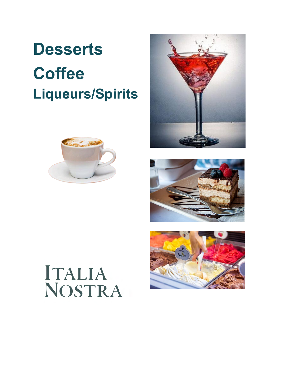# **Desserts Coffee Liqueurs/Spirits**